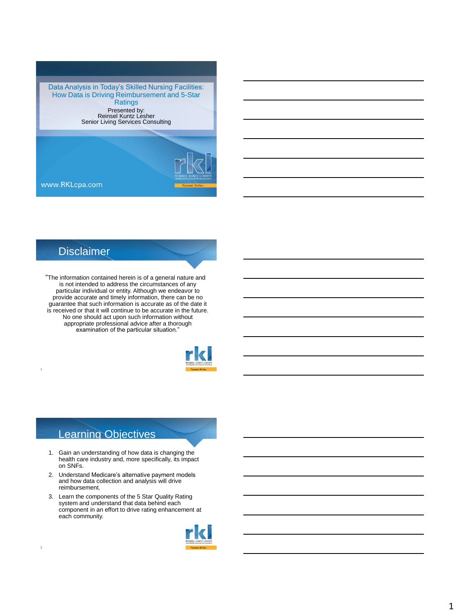Data Analysis in Today's Skilled Nursing Facilities: How Data is Driving Reimbursement and 5-Star **Ratings** Presented by: Reinsel Kuntz Lesher Senior Living Services Consulting



www.RKLcpa.com

### **Disclaimer**

1

2

"The information contained herein is of a general nature and is not intended to address the circumstances of any particular individual or entity. Although we endeavor to provide accurate and timely information, there can be no guarantee that such information is accurate as of the date it is received or that it will continue to be accurate in the future. No one should act upon such information without appropriate professional advice after a thorough examination of the particular situation."



#### Learning Objectives

- 1. Gain an understanding of how data is changing the health care industry and, more specifically, its impact on SNFs.
- 2. Understand Medicare's alternative payment models and how data collection and analysis will drive reimbursement.
- 3. Learn the components of the 5 Star Quality Rating system and understand that data behind each component in an effort to drive rating enhancement at each community.

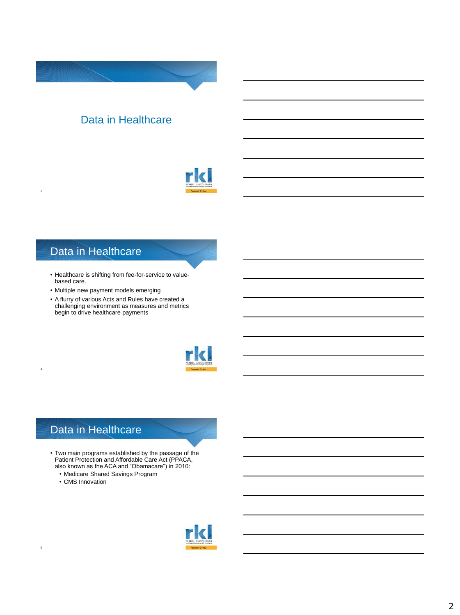

### Data in Healthcare

3

4

5

- Healthcare is shifting from fee-for-service to valuebased care.
- Multiple new payment models emerging
- A flurry of various Acts and Rules have created a challenging environment as measures and metrics begin to drive healthcare payments



### Data in Healthcare

- Two main programs established by the passage of the Patient Protection and Affordable Care Act (PPACA, also known as the ACA and "Obamacare") in 2010:
	- Medicare Shared Savings Program
	- CMS Innovation

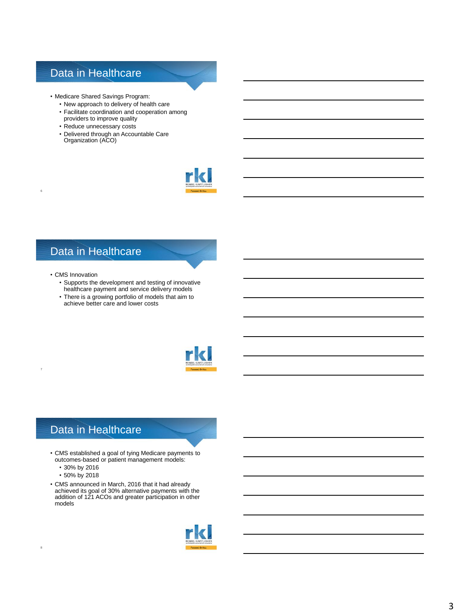- Medicare Shared Savings Program:
	- New approach to delivery of health care
	- Facilitate coordination and cooperation among providers to improve quality
	- Reduce unnecessary costs
	- Delivered through an Accountable Care Organization (ACO)



### Data in Healthcare

• CMS Innovation

6

7

8

- Supports the development and testing of innovative healthcare payment and service delivery models
- There is a growing portfolio of models that aim to achieve better care and lower costs



### Data in Healthcare

- CMS established a goal of tying Medicare payments to outcomes-based or patient management models:
	- 30% by 2016
	- 50% by 2018
- CMS announced in March, 2016 that it had already achieved its goal of 30% alternative payments with the addition of 121 ACOs and greater participation in other models

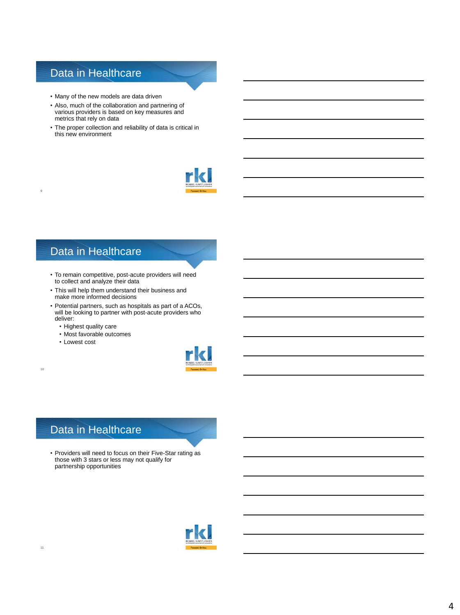- Many of the new models are data driven
- Also, much of the collaboration and partnering of various providers is based on key measures and metrics that rely on data
- The proper collection and reliability of data is critical in this new environment



### Data in Healthcare

- To remain competitive, post-acute providers will need to collect and analyze their data
- This will help them understand their business and make more informed decisions
- Potential partners, such as hospitals as part of a ACOs, will be looking to partner with post-acute providers who deliver:
	- Highest quality care
	- Most favorable outcomes
	- Lowest cost

9

10

11



### Data in Healthcare

• Providers will need to focus on their Five-Star rating as those with 3 stars or less may not qualify for partnership opportunities

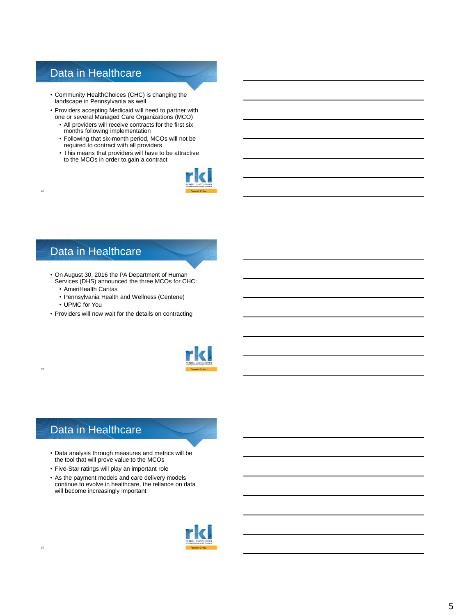- Community HealthChoices (CHC) is changing the landscape in Pennsylvania as well
- Providers accepting Medicaid will need to partner with one or several Managed Care Organizations (MCO)
	- All providers will receive contracts for the first six months following implementation
	- Following that six-month period, MCOs will not be required to contract with all providers
	- This means that providers will have to be attractive to the MCOs in order to gain a contract



### Data in Healthcare

- On August 30, 2016 the PA Department of Human Services (DHS) announced the three MCOs for CHC:
	- AmeriHealth Caritas
	- Pennsylvania Health and Wellness (Centene)
	- UPMC for You

12

13

• Providers will now wait for the details on contracting



### Data in Healthcare

- Data analysis through measures and metrics will be the tool that will prove value to the MCOs
- Five-Star ratings will play an important role
- As the payment models and care delivery models continue to evolve in healthcare, the reliance on data will become increasingly important

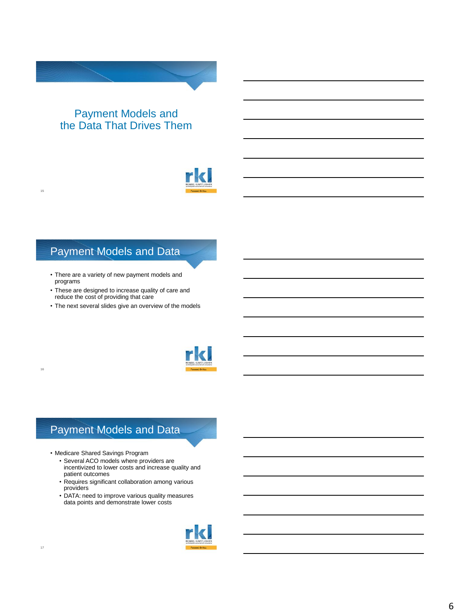### Payment Models and the Data That Drives Them



### Payment Models and Data

- There are a variety of new payment models and programs
- These are designed to increase quality of care and reduce the cost of providing that care
- The next several slides give an overview of the models



# Payment Models and Data

- Medicare Shared Savings Program
	- Several ACO models where providers are incentivized to lower costs and increase quality and patient outcomes
	- Requires significant collaboration among various providers
	- DATA: need to improve various quality measures data points and demonstrate lower costs



15

16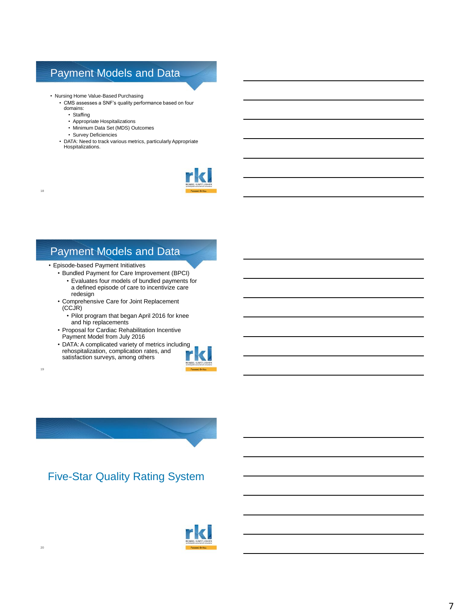# Payment Models and Data

- Nursing Home Value-Based Purchasing
	- CMS assesses a SNF's quality performance based on four
	- domains:

18

19

20

- Staffing
- Appropriate Hospitalizations
- Minimum Data Set (MDS) Outcomes
- Survey Deficiencies
- DATA: Need to track various metrics, particularly Appropriate Hospitalizations.



# Payment Models and Data

- Episode-based Payment Initiatives
	- Bundled Payment for Care Improvement (BPCI)
		- Evaluates four models of bundled payments for a defined episode of care to incentivize care redesign
	- Comprehensive Care for Joint Replacement (CCJR)
		- Pilot program that began April 2016 for knee and hip replacements
	- Proposal for Cardiac Rehabilitation Incentive Payment Model from July 2016
	- DATA: A complicated variety of metrics including rehospitalization, complication rates, and satisfaction surveys, among others



Five-Star Quality Rating System

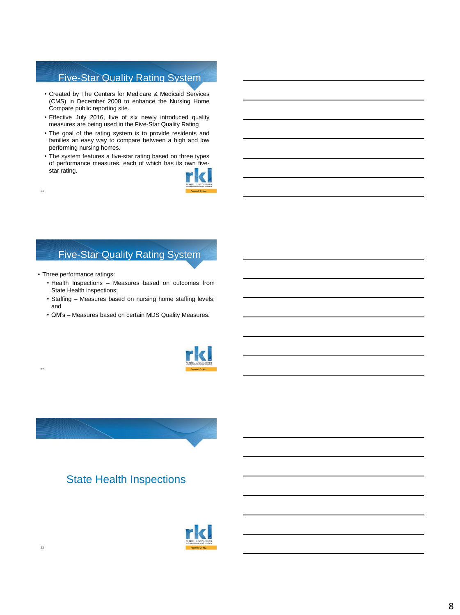### Five-Star Quality Rating System

- Created by The Centers for Medicare & Medicaid Services (CMS) in December 2008 to enhance the Nursing Home Compare public reporting site.
- Effective July 2016, five of six newly introduced quality measures are being used in the Five-Star Quality Rating
- The goal of the rating system is to provide residents and families an easy way to compare between a high and low performing nursing homes.
- The system features a five-star rating based on three types of performance measures, each of which has its own fivestar rating.



### Five-Star Quality Rating System

• Three performance ratings:

21

22

- Health Inspections Measures based on outcomes from State Health inspections;
- Staffing Measures based on nursing home staffing levels; and
- QM's Measures based on certain MDS Quality Measures.





### State Health Inspections

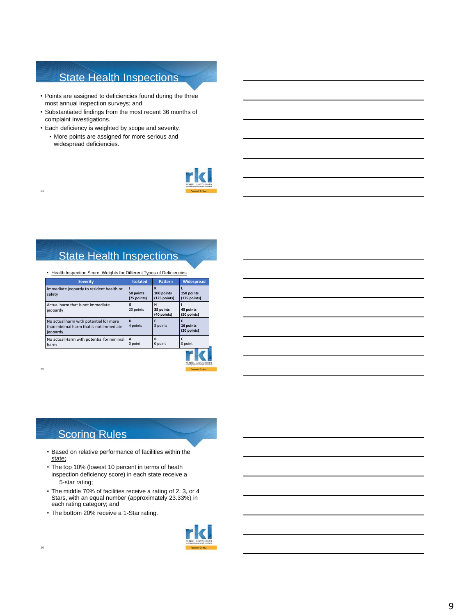# State Health Inspections

- Points are assigned to deficiencies found during the three most annual inspection surveys; and
- Substantiated findings from the most recent 36 months of complaint investigations.
- Each deficiency is weighted by scope and severity.
- More points are assigned for more serious and widespread deficiencies.



# State Health Inspections

| Health Inspection Score: Weights for Different Types of Deficiencies                          |                          |                                 |                            |
|-----------------------------------------------------------------------------------------------|--------------------------|---------------------------------|----------------------------|
| <b>Severity</b>                                                                               | <b>Isolated</b>          | <b>Pattern</b>                  | Widespread                 |
| Immediate jeopardy to resident health or<br>safety                                            | 50 points<br>(75 points) | K<br>100 points<br>(125 points) | 150 points<br>(175 points) |
| Actual harm that is not immediate<br>jeopardy                                                 | G<br>20 points           | н<br>35 points<br>(40 points)   | 45 points<br>(50 points)   |
| No actual harm with potential for more<br>than minimal harm that is not immediate<br>jeopardy | D<br>4 points            | F<br>8 points                   | 16 points<br>(20 points)   |
| No actual Harm with potential for minimal<br>harm                                             | A<br>0 point             | B<br>0 point                    | C<br>0 point               |
|                                                                                               |                          |                                 |                            |



25

24

### Scoring Rules

- Based on relative performance of facilities within the state;
- The top 10% (lowest 10 percent in terms of heath inspection deficiency score) in each state receive a 5-star rating;
- The middle 70% of facilities receive a rating of 2, 3, or 4 Stars, with an equal number (approximately 23.33%) in each rating category; and
- The bottom 20% receive a 1-Star rating.

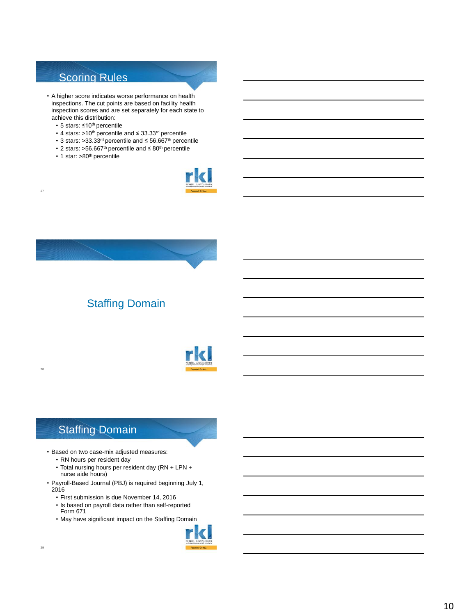### Scoring Rules

- A higher score indicates worse performance on health inspections. The cut points are based on facility health inspection scores and are set separately for each state to achieve this distribution:
	- 5 stars: ≤10th percentile
	- 4 stars: >10th percentile and ≤ 33.33rd percentile
	- 3 stars: >33.33rd percentile and ≤ 56.667th percentile
	- 2 stars: >56.667th percentile and ≤ 80th percentile
	- 1 star: >80<sup>th</sup> percentile

27

28





# Staffing Domain



### Staffing Domain

- Based on two case-mix adjusted measures:
	- RN hours per resident day
	- Total nursing hours per resident day (RN + LPN + nurse aide hours)
- Payroll-Based Journal (PBJ) is required beginning July 1, 2016
	- First submission is due November 14, 2016
	- Is based on payroll data rather than self-reported Form 671
	- May have significant impact on the Staffing Domain

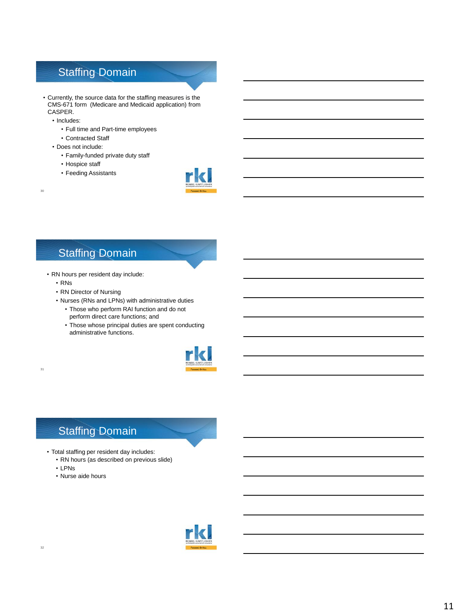# Staffing Domain

- Currently, the source data for the staffing measures is the CMS-671 form (Medicare and Medicaid application) from CASPER.
	- Includes:

30

31

- Full time and Part-time employees
- Contracted Staff
- Does not include:
	- Family-funded private duty staff
	- Hospice staff
	- Feeding Assistants



### Staffing Domain

- RN hours per resident day include:
	- RNs
	- RN Director of Nursing
	- Nurses (RNs and LPNs) with administrative duties
		- Those who perform RAI function and do not perform direct care functions; and
		- Those whose principal duties are spent conducting administrative functions.



# Staffing Domain

- Total staffing per resident day includes:
	- RN hours (as described on previous slide)
	- LPNs
	- Nurse aide hours

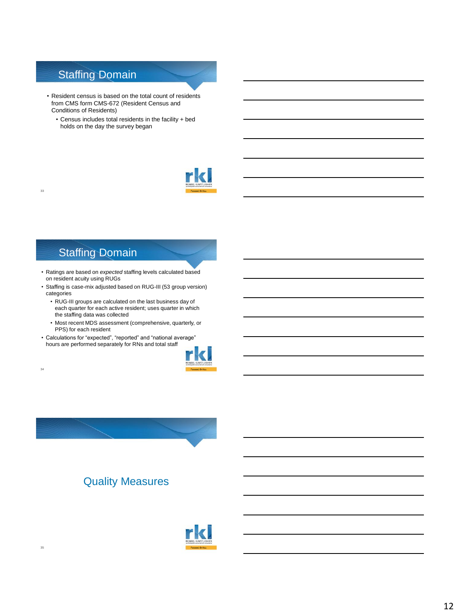### Staffing Domain

- Resident census is based on the total count of residents from CMS form CMS-672 (Resident Census and Conditions of Residents)
	- Census includes total residents in the facility + bed holds on the day the survey began



### Staffing Domain

33

34

35

- Ratings are based on *expected* staffing levels calculated based on resident acuity using RUGs
- Staffing is case-mix adjusted based on RUG-III (53 group version) categories
	- RUG-III groups are calculated on the last business day of each quarter for each active resident; uses quarter in which the staffing data was collected
	- Most recent MDS assessment (comprehensive, quarterly, or PPS) for each resident
- Calculations for "expected", "reported" and "national average" hours are performed separately for RNs and total staff





### Quality Measures

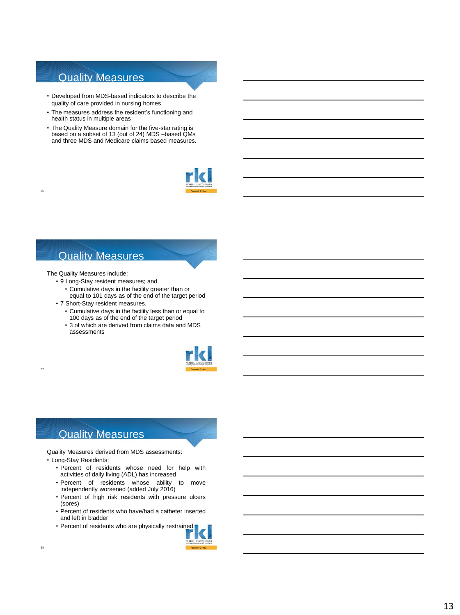### Quality Measures

- Developed from MDS-based indicators to describe the quality of care provided in nursing homes
- The measures address the resident's functioning and health status in multiple areas
- The Quality Measure domain for the five-star rating is based on a subset of 13 (out of 24) MDS –based QMs and three MDS and Medicare claims based measures.



### Quality Measures

The Quality Measures include:

36

37

- 9 Long-Stay resident measures; and
	- Cumulative days in the facility greater than or equal to 101 days as of the end of the target period
- 7 Short-Stay resident measures.
	- Cumulative days in the facility less than or equal to 100 days as of the end of the target period
	- 3 of which are derived from claims data and MDS assessments



### Quality Measures

Quality Measures derived from MDS assessments:

- Long-Stay Residents:
	- Percent of residents whose need for help with activities of daily living (ADL) has increased
	- Percent of residents whose ability to move independently worsened (added July 2016)
	- Percent of high risk residents with pressure ulcers (sores)
	- Percent of residents who have/had a catheter inserted and left in bladder
	- Percent of residents who are physically restrained

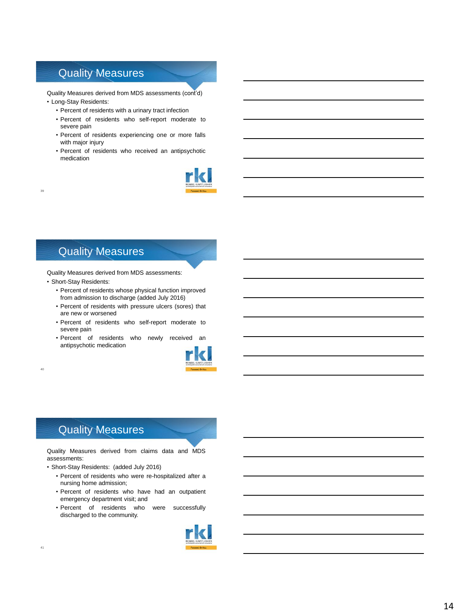### Quality Measures

Quality Measures derived from MDS assessments (cont'd) • Long-Stay Residents:

- Percent of residents with a urinary tract infection
- Percent of residents who self-report moderate to severe pain
- Percent of residents experiencing one or more falls with major injury
- Percent of residents who received an antipsychotic medication



### Quality Measures

39

40

Quality Measures derived from MDS assessments: • Short-Stay Residents:

- Percent of residents whose physical function improved from admission to discharge (added July 2016)
- Percent of residents with pressure ulcers (sores) that are new or worsened
- Percent of residents who self-report moderate to severe pain
- Percent of residents who newly received an antipsychotic medication



### Quality Measures

Quality Measures derived from claims data and MDS assessments:

- Short-Stay Residents: (added July 2016)
	- Percent of residents who were re-hospitalized after a nursing home admission;
	- Percent of residents who have had an outpatient emergency department visit; and
	- Percent of residents who were successfully discharged to the community.

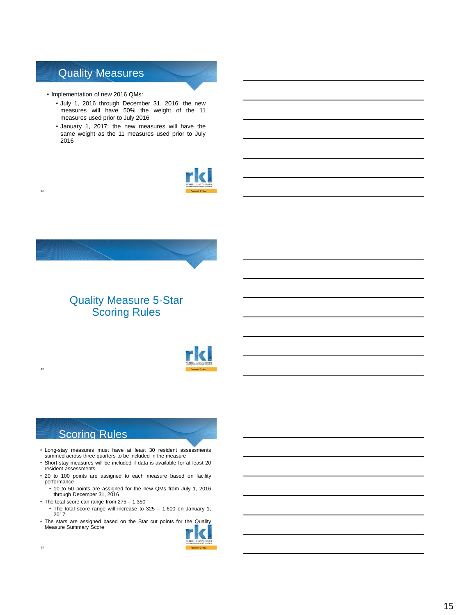### Quality Measures

• Implementation of new 2016 QMs:

42

43

- July 1, 2016 through December 31, 2016: the new measures will have 50% the weight of the 11 measures used prior to July 2016
- January 1, 2017: the new measures will have the same weight as the 11 measures used prior to July 2016





### Quality Measure 5-Star Scoring Rules



### Scoring Rules

- Long-stay measures must have at least 30 resident assessments summed across three quarters to be included in the measure
- Short-stay measures will be included if data is available for at least 20 resident assessments
- 20 to 100 points are assigned to each measure based on facility performance
	- 10 to 50 points are assigned for the new QMs from July 1, 2016 through December 31, 2016
- The total score can range from 275 1,350
	- The total score range will increase to 325 1,600 on January 1, 2017
- The stars are assigned based on the Star cut points for the Quality<br>Measure Summary Score

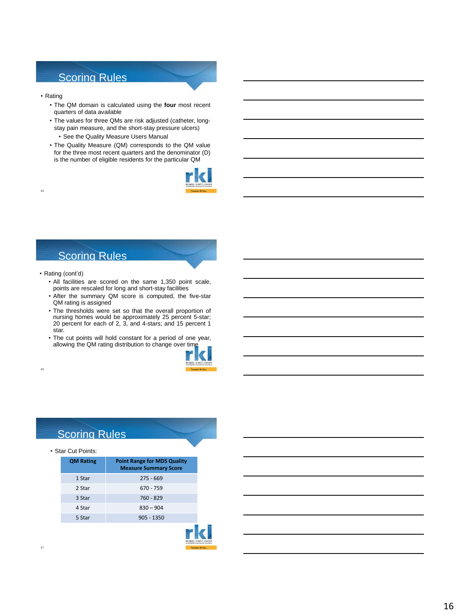### Scoring Rules

• Rating

45

46

- The QM domain is calculated using the **four** most recent quarters of data available
- The values for three QMs are risk adjusted (catheter, longstay pain measure, and the short-stay pressure ulcers)
	- See the Quality Measure Users Manual
- The Quality Measure (QM) corresponds to the QM value for the three most recent quarters and the denominator (D) is the number of eligible residents for the particular QM



### Scoring Rules

- Rating (cont'd)
	- All facilities are scored on the same 1,350 point scale, points are rescaled for long and short-stay facilities
	- After the summary QM score is computed, the five-star QM rating is assigned
	- The thresholds were set so that the overall proportion of nursing homes would be approximately 25 percent 5-star; 20 percent for each of 2, 3, and 4-stars; and 15 percent 1 star.
	- The cut points will hold constant for a period of one year, allowing the QM rating distribution to change over time



### Scoring Rules

#### • Star Cut Points:

| <b>QM Rating</b> | <b>Point Range for MDS Quality</b><br><b>Measure Summary Score</b> |
|------------------|--------------------------------------------------------------------|
| 1 Star           | $275 - 669$                                                        |
| 2 Star           | 670 - 759                                                          |
| 3 Star           | 760 - 829                                                          |
| 4 Star           | $830 - 904$                                                        |
| 5 Star           | $905 - 1350$                                                       |
|                  |                                                                    |

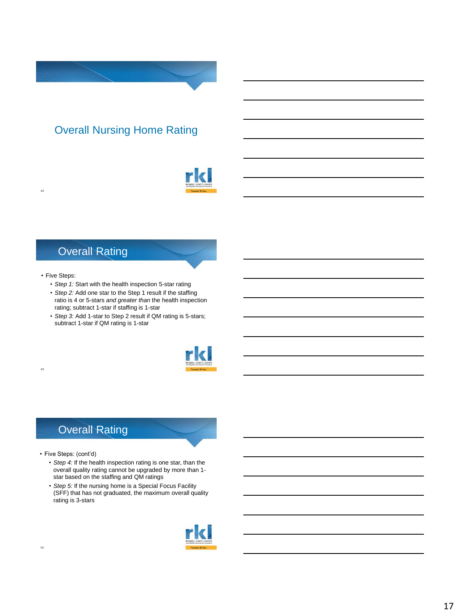# Overall Nursing Home Rating



### Overall Rating

#### • Five Steps:

49

48

- *Step 1:* Start with the health inspection 5-star rating
- *Step 2:* Add one star to the Step 1 result if the staffing ratio is 4 or 5-stars *and greater than* the health inspection rating; subtract 1-star if staffing is 1-star
- *Step 3:* Add 1-star to Step 2 result if QM rating is 5-stars; subtract 1-star if QM rating is 1-star



# Overall Rating

- Five Steps: (cont'd)
	- *Step 4:* If the health inspection rating is one star, than the overall quality rating cannot be upgraded by more than 1 star based on the staffing and QM ratings
	- *Step 5:* If the nursing home is a Special Focus Facility (SFF) that has not graduated, the maximum overall quality rating is 3-stars

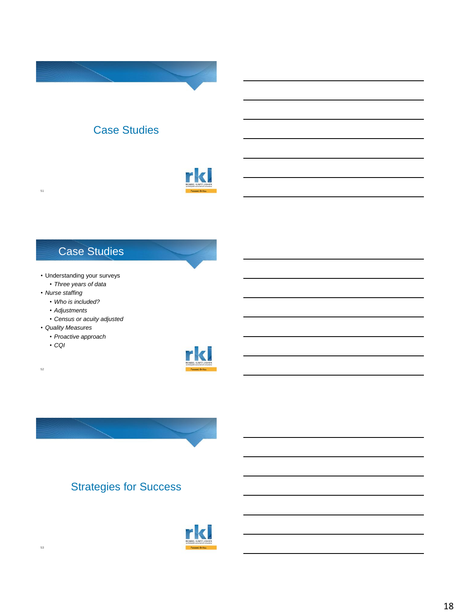# Case Studies



### Case Studies

- Understanding your surveys
	- *Three years of data*
- *Nurse staffing*

51

- *Who is included?*
- *Adjustments*
- *Census or acuity adjusted*
- *Quality Measures*
	- *Proactive approach*
	- *CQI*

52





# Strategies for Success



53